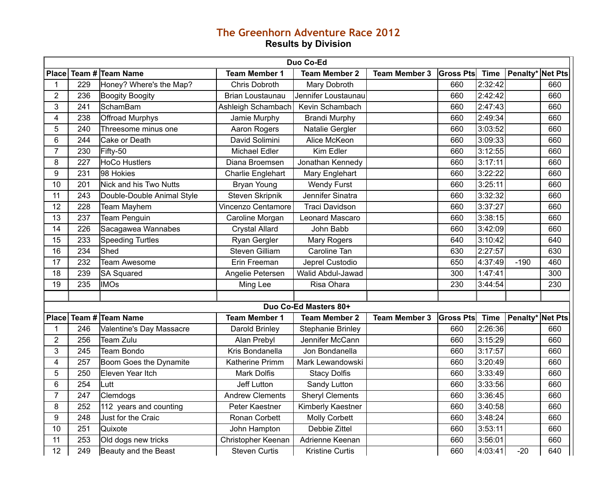## **The Greenhorn Adventure Race 2012 Results by Division**

| Duo Co-Ed      |     |                            |                        |                          |                      |                  |             |                  |     |
|----------------|-----|----------------------------|------------------------|--------------------------|----------------------|------------------|-------------|------------------|-----|
| <b>Place</b>   |     | Team # Team Name           | <b>Team Member 1</b>   | <b>Team Member 2</b>     | <b>Team Member 3</b> | <b>Gross Pts</b> | <b>Time</b> | Penalty* Net Pts |     |
| 1              | 229 | Honey? Where's the Map?    | <b>Chris Dobroth</b>   | Mary Dobroth             |                      | 660              | 2:32:42     |                  | 660 |
| $\overline{2}$ | 236 | <b>Boogity Boogity</b>     | Brian Loustaunau       | Jennifer Loustaunau      |                      | 660              | 2:42:42     |                  | 660 |
| 3              | 241 | SchamBam                   | Ashleigh Schambach     | Kevin Schambach          |                      | 660              | 2:47:43     |                  | 660 |
| 4              | 238 | Offroad Murphys            | Jamie Murphy           | <b>Brandi Murphy</b>     |                      | 660              | 2:49:34     |                  | 660 |
| 5              | 240 | Threesome minus one        | Aaron Rogers           | Natalie Gergler          |                      | 660              | 3:03:52     |                  | 660 |
| 6              | 244 | Cake or Death              | David Solimini         | Alice McKeon             |                      | 660              | 3:09:33     |                  | 660 |
| $\overline{7}$ | 230 | Fifty-50                   | Michael Edler          | Kim Edler                |                      | 660              | 3:12:55     |                  | 660 |
| 8              | 227 | <b>HoCo Hustlers</b>       | Diana Broemsen         | Jonathan Kennedy         |                      | 660              | 3:17:11     |                  | 660 |
| 9              | 231 | 98 Hokies                  | Charlie Englehart      | Mary Englehart           |                      | 660              | 3:22:22     |                  | 660 |
| 10             | 201 | Nick and his Two Nutts     | Bryan Young            | <b>Wendy Furst</b>       |                      | 660              | 3:25:11     |                  | 660 |
| 11             | 243 | Double-Double Animal Style | Steven Skripnik        | Jennifer Sinatra         |                      | 660              | 3:32:32     |                  | 660 |
| 12             | 228 | <b>Team Mayhem</b>         | Vincenzo Centamore     | <b>Traci Davidson</b>    |                      | 660              | 3:37:27     |                  | 660 |
| 13             | 237 | <b>Team Penguin</b>        | Caroline Morgan        | Leonard Mascaro          |                      | 660              | 3:38:15     |                  | 660 |
| 14             | 226 | Sacagawea Wannabes         | <b>Crystal Allard</b>  | John Babb                |                      | 660              | 3:42:09     |                  | 660 |
| 15             | 233 | <b>Speeding Turtles</b>    | Ryan Gergler           | Mary Rogers              |                      | 640              | 3:10:42     |                  | 640 |
| 16             | 234 | Shed                       | Steven Gilliam         | Caroline Tan             |                      | 630              | 2:27:57     |                  | 630 |
| 17             | 232 | <b>Team Awesome</b>        | Erin Freeman           | Jeprel Custodio          |                      | 650              | 4:37:49     | $-190$           | 460 |
| 18             | 239 | <b>SA Squared</b>          | Angelie Petersen       | Walid Abdul-Jawad        |                      | 300              | 1:47:41     |                  | 300 |
| 19             | 235 | <b>IMOs</b>                | Ming Lee               | Risa Ohara               |                      | 230              | 3:44:54     |                  | 230 |
|                |     |                            |                        |                          |                      |                  |             |                  |     |
|                |     |                            |                        | Duo Co-Ed Masters 80+    |                      |                  |             |                  |     |
| <b>Place</b>   |     | Team # Team Name           | <b>Team Member 1</b>   | <b>Team Member 2</b>     | <b>Team Member 3</b> | <b>Gross Pts</b> | <b>Time</b> | Penalty* Net Pts |     |
| 1              | 246 | Valentine's Day Massacre   | Darold Brinley         | <b>Stephanie Brinley</b> |                      | 660              | 2:26:36     |                  | 660 |
| $\overline{2}$ | 256 | Team Zulu                  | Alan Prebyl            | Jennifer McCann          |                      | 660              | 3:15:29     |                  | 660 |
| 3              | 245 | <b>Team Bondo</b>          | Kris Bondanella        | Jon Bondanella           |                      | 660              | 3:17:57     |                  | 660 |
| $\overline{4}$ | 257 | Boom Goes the Dynamite     | Katherine Primm        | Mark Lewandowski         |                      | 660              | 3:20:49     |                  | 660 |
| 5              | 250 | Eleven Year Itch           | <b>Mark Dolfis</b>     | <b>Stacy Dolfis</b>      |                      | 660              | 3:33:49     |                  | 660 |
| 6              | 254 | Lutt                       | Jeff Lutton            | Sandy Lutton             |                      | 660              | 3:33:56     |                  | 660 |
| 7              | 247 | Clemdogs                   | <b>Andrew Clements</b> | <b>Sheryl Clements</b>   |                      | 660              | 3:36:45     |                  | 660 |
| 8              | 252 | 112 years and counting     | Peter Kaestner         | Kimberly Kaestner        |                      | 660              | 3:40:58     |                  | 660 |
| 9              | 248 | Just for the Craic         | Ronan Corbett          | <b>Molly Corbett</b>     |                      | 660              | 3:48:24     |                  | 660 |
| 10             | 251 | Quixote                    | John Hampton           | Debbie Zittel            |                      | 660              | 3:53:11     |                  | 660 |
| 11             | 253 | Old dogs new tricks        | Christopher Keenan     | Adrienne Keenan          |                      | 660              | 3:56:01     |                  | 660 |
| 12             | 249 | Beauty and the Beast       | <b>Steven Curtis</b>   | <b>Kristine Curtis</b>   |                      | 660              | 4:03:41     | $-20$            | 640 |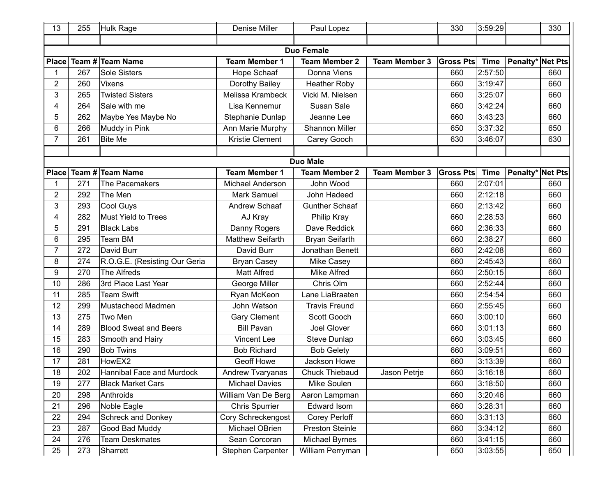| 13              | 255 | <b>Hulk Rage</b>              | <b>Denise Miller</b>    | Paul Lopez            |                      | 330              | 3:59:29     |                         | 330 |
|-----------------|-----|-------------------------------|-------------------------|-----------------------|----------------------|------------------|-------------|-------------------------|-----|
|                 |     |                               |                         |                       |                      |                  |             |                         |     |
|                 |     |                               |                         | <b>Duo Female</b>     |                      |                  |             |                         |     |
| <b>Place</b>    |     | Team # Team Name              | <b>Team Member 1</b>    | <b>Team Member 2</b>  | <b>Team Member 3</b> | <b>Gross Pts</b> | <b>Time</b> | <b>Penalty*</b> Net Pts |     |
|                 | 267 | <b>Sole Sisters</b>           | Hope Schaaf             | Donna Viens           |                      | 660              | 2:57:50     |                         | 660 |
| 2               | 260 | <b>Vixens</b>                 | Dorothy Bailey          | <b>Heather Roby</b>   |                      | 660              | 3:19:47     |                         | 660 |
| 3               | 265 | <b>Twisted Sisters</b>        | Melissa Krambeck        | Vicki M. Nielsen      |                      | 660              | 3:25:07     |                         | 660 |
| 4               | 264 | Sale with me                  | Lisa Kennemur           | Susan Sale            |                      | 660              | 3:42:24     |                         | 660 |
| 5               | 262 | Maybe Yes Maybe No            | Stephanie Dunlap        | Jeanne Lee            |                      | 660              | 3:43:23     |                         | 660 |
| 6               | 266 | Muddy in Pink                 | Ann Marie Murphy        | Shannon Miller        |                      | 650              | 3:37:32     |                         | 650 |
| $\overline{7}$  | 261 | <b>Bite Me</b>                | Kristie Clement         | Carey Gooch           |                      | 630              | 3:46:07     |                         | 630 |
|                 |     |                               |                         |                       |                      |                  |             |                         |     |
|                 |     |                               |                         | <b>Duo Male</b>       |                      |                  |             |                         |     |
| <b>Place</b>    |     | Team # Team Name              | <b>Team Member 1</b>    | <b>Team Member 2</b>  | <b>Team Member 3</b> | <b>Gross Pts</b> | <b>Time</b> | <b>Penalty*</b> Net Pts |     |
|                 | 271 | The Pacemakers                | <b>Michael Anderson</b> | John Wood             |                      | 660              | 2:07:01     |                         | 660 |
| 2               | 292 | The Men                       | Mark Samuel             | John Hadeed           |                      | 660              | 2:12:18     |                         | 660 |
| 3               | 293 | <b>Cool Guys</b>              | Andrew Schaaf           | <b>Gunther Schaaf</b> |                      | 660              | 2:13:42     |                         | 660 |
| 4               | 282 | Must Yield to Trees           | AJ Kray                 | Philip Kray           |                      | 660              | 2:28:53     |                         | 660 |
| 5               | 291 | <b>Black Labs</b>             | Danny Rogers            | Dave Reddick          |                      | 660              | 2:36:33     |                         | 660 |
| 6               | 295 | <b>Team BM</b>                | <b>Matthew Seifarth</b> | Bryan Seifarth        |                      | 660              | 2:38:27     |                         | 660 |
| 7               | 272 | David Burr                    | David Burr              | Jonathan Benett       |                      | 660              | 2:42:08     |                         | 660 |
| 8               | 274 | R.O.G.E. (Resisting Our Geria | <b>Bryan Casey</b>      | Mike Casey            |                      | 660              | 2:45:43     |                         | 660 |
| 9               | 270 | The Alfreds                   | <b>Matt Alfred</b>      | <b>Mike Alfred</b>    |                      | 660              | 2:50:15     |                         | 660 |
| 10              | 286 | 3rd Place Last Year           | George Miller           | Chris Olm             |                      | 660              | 2:52:44     |                         | 660 |
| 11              | 285 | <b>Team Swift</b>             | Ryan McKeon             | Lane LiaBraaten       |                      | 660              | 2:54:54     |                         | 660 |
| 12              | 299 | Mustacheod Madmen             | John Watson             | <b>Travis Freund</b>  |                      | 660              | 2:55:45     |                         | 660 |
| 13              | 275 | Two Men                       | Gary Clement            | Scott Gooch           |                      | 660              | 3:00:10     |                         | 660 |
| 14              | 289 | <b>Blood Sweat and Beers</b>  | <b>Bill Pavan</b>       | Joel Glover           |                      | 660              | 3:01:13     |                         | 660 |
| 15              | 283 | Smooth and Hairy              | <b>Vincent Lee</b>      | Steve Dunlap          |                      | 660              | 3:03:45     |                         | 660 |
| 16              | 290 | <b>Bob Twins</b>              | <b>Bob Richard</b>      | <b>Bob Gelety</b>     |                      | 660              | 3:09:51     |                         | 660 |
| 17              | 281 | HowEX2                        | <b>Geoff Howe</b>       | Jackson Howe          |                      | 660              | 3:13:39     |                         | 660 |
| $\overline{18}$ | 202 | Hannibal Face and Murdock     | <b>Andrew Tvaryanas</b> | <b>Chuck Thiebaud</b> | Jason Petrje         | 660              | 3:16:18     |                         | 660 |
| 19              | 277 | <b>Black Market Cars</b>      | <b>Michael Davies</b>   | Mike Soulen           |                      | 660              | 3:18:50     |                         | 660 |
| 20              | 298 | Anthroids                     | William Van De Berg     | Aaron Lampman         |                      | 660              | 3:20:46     |                         | 660 |
| 21              | 296 | Noble Eagle                   | <b>Chris Spurrier</b>   | Edward Isom           |                      | 660              | 3:28:31     |                         | 660 |
| 22              | 294 | <b>Schreck and Donkey</b>     | Cory Schreckengost      | Corey Perloff         |                      | 660              | 3:31:13     |                         | 660 |
| 23              | 287 | Good Bad Muddy                | Michael OBrien          | Preston Steinle       |                      | 660              | 3:34:12     |                         | 660 |
| 24              | 276 | <b>Team Deskmates</b>         | Sean Corcoran           | Michael Byrnes        |                      | 660              | 3:41:15     |                         | 660 |
| 25              | 273 | Sharrett                      | Stephen Carpenter       | William Perryman      |                      | 650              | 3:03:55     |                         | 650 |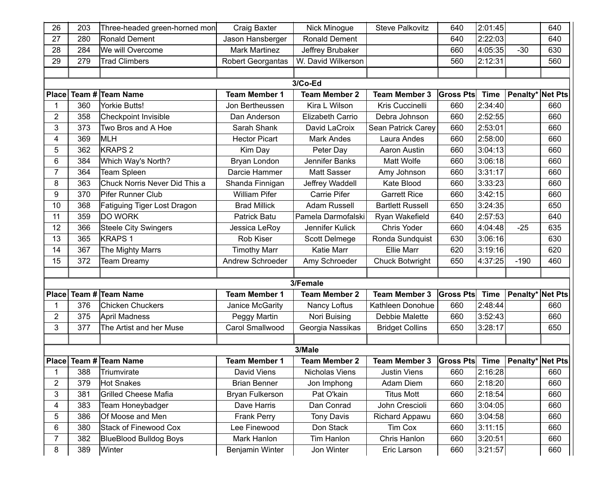| 26             | 203 | Three-headed green-horned mon | Craig Baxter             | Nick Minogue         | <b>Steve Palkovitz</b>  | 640              | 2:01:45     |                         | 640 |
|----------------|-----|-------------------------------|--------------------------|----------------------|-------------------------|------------------|-------------|-------------------------|-----|
| 27             | 280 | Ronald Dement                 | Jason Hansberger         | Ronald Dement        |                         | 640              | 2:22:03     |                         | 640 |
| 28             | 284 | We will Overcome              | <b>Mark Martinez</b>     | Jeffrey Brubaker     |                         | 660              | 4:05:35     | $-30$                   | 630 |
| 29             | 279 | <b>Trad Climbers</b>          | <b>Robert Georgantas</b> | W. David Wilkerson   |                         | 560              | 2:12:31     |                         | 560 |
|                |     |                               |                          |                      |                         |                  |             |                         |     |
|                |     |                               |                          | 3/Co-Ed              |                         |                  |             |                         |     |
| <b>Place</b>   |     | Team # Team Name              | <b>Team Member 1</b>     | <b>Team Member 2</b> | <b>Team Member 3</b>    | <b>Gross Pts</b> | <b>Time</b> | <b>Penalty*</b> Net Pts |     |
|                | 360 | <b>Yorkie Butts!</b>          | Jon Bertheussen          | Kira L Wilson        | Kris Cuccinelli         | 660              | 2:34:40     |                         | 660 |
| $\overline{2}$ | 358 | Checkpoint Invisible          | Dan Anderson             | Elizabeth Carrio     | Debra Johnson           | 660              | 2:52:55     |                         | 660 |
| 3              | 373 | Two Bros and A Hoe            | Sarah Shank              | David LaCroix        | Sean Patrick Carey      | 660              | 2:53:01     |                         | 660 |
| 4              | 369 | <b>MLH</b>                    | <b>Hector Picart</b>     | <b>Mark Andes</b>    | Laura Andes             | 660              | 2:58:00     |                         | 660 |
| 5              | 362 | <b>KRAPS 2</b>                | Kim Day                  | Peter Day            | Aaron Austin            | 660              | 3:04:13     |                         | 660 |
| 6              | 384 | Which Way's North?            | Bryan London             | Jennifer Banks       | Matt Wolfe              | 660              | 3:06:18     |                         | 660 |
| 7              | 364 | Team Spleen                   | Darcie Hammer            | Matt Sasser          | Amy Johnson             | 660              | 3:31:17     |                         | 660 |
| 8              | 363 | Chuck Norris Never Did This a | Shanda Finnigan          | Jeffrey Waddell      | Kate Blood              | 660              | 3:33:23     |                         | 660 |
| 9              | 370 | Pifer Runner Club             | <b>William Pifer</b>     | Carrie Pifer         | <b>Garrett Rice</b>     | 660              | 3:42:15     |                         | 660 |
| 10             | 368 | Fatiguing Tiger Lost Dragon   | <b>Brad Millick</b>      | <b>Adam Russell</b>  | <b>Bartlett Russell</b> | 650              | 3:24:35     |                         | 650 |
| 11             | 359 | <b>DO WORK</b>                | Patrick Batu             | Pamela Darmofalski   | Ryan Wakefield          | 640              | 2:57:53     |                         | 640 |
| 12             | 366 | <b>Steele City Swingers</b>   | Jessica LeRoy            | Jennifer Kulick      | Chris Yoder             | 660              | 4:04:48     | $-25$                   | 635 |
| 13             | 365 | <b>KRAPS1</b>                 | Rob Kiser                | Scott Delmege        | Ronda Sundquist         | 630              | 3:06:16     |                         | 630 |
| 14             | 367 | The Mighty Marrs              | <b>Timothy Marr</b>      | Katie Marr           | <b>Ellie Marr</b>       | 620              | 3:19:16     |                         | 620 |
| 15             | 372 | <b>Team Dreamy</b>            | Andrew Schroeder         | Amy Schroeder        | <b>Chuck Botwright</b>  | 650              | 4:37:25     | $-190$                  | 460 |
|                |     |                               |                          |                      |                         |                  |             |                         |     |
|                |     |                               |                          | 3/Female             |                         |                  |             |                         |     |
| <b>Place</b>   |     | Team # Team Name              | <b>Team Member 1</b>     | <b>Team Member 2</b> | <b>Team Member 3</b>    | <b>Gross Pts</b> | <b>Time</b> | <b>Penalty*</b> Net Pts |     |
|                | 376 | <b>Chicken Chuckers</b>       | Janice McGarity          | Nancy Loftus         | Kathleen Donohue        | 660              | 2:48:44     |                         | 660 |
| $\overline{2}$ | 375 | <b>April Madness</b>          | Peggy Martin             | Nori Buising         | Debbie Malette          | 660              | 3:52:43     |                         | 660 |
| 3              | 377 | The Artist and her Muse       | Carol Smallwood          | Georgia Nassikas     | <b>Bridget Collins</b>  | 650              | 3:28:17     |                         | 650 |
|                |     |                               |                          |                      |                         |                  |             |                         |     |
|                |     |                               |                          | 3/Male               |                         |                  |             |                         |     |
|                |     | Place Team # Team Name        | <b>Team Member 1</b>     | <b>Team Member 2</b> | <b>Team Member 3</b>    | Gross Pts Time   |             | <b>Penalty*</b> Net Pts |     |
| 1              |     | 388 Triumvirate               | David Viens              | Nicholas Viens       | Justin Viens            | 660              | 2:16:28     |                         | 660 |
| $\overline{c}$ | 379 | <b>Hot Snakes</b>             | <b>Brian Benner</b>      | Jon Imphong          | Adam Diem               | 660              | 2:18:20     |                         | 660 |
| $\mathbf{3}$   | 381 | <b>Grilled Cheese Mafia</b>   | Bryan Fulkerson          | Pat O'kain           | <b>Titus Mott</b>       | 660              | 2:18:54     |                         | 660 |
| 4              | 383 | Team Honeybadger              | Dave Harris              | Dan Conrad           | John Crescioli          | 660              | 3:04:05     |                         | 660 |
| 5              | 386 | Of Moose and Men              | <b>Frank Perry</b>       | <b>Tony Davis</b>    | Richard Appawu          | 660              | 3:04:58     |                         | 660 |
| 6              | 380 | Stack of Finewood Cox         | Lee Finewood             | Don Stack            | Tim Cox                 | 660              | 3:11:15     |                         | 660 |
| $\overline{7}$ | 382 | <b>BlueBlood Bulldog Boys</b> | Mark Hanlon              | Tim Hanlon           | Chris Hanlon            | 660              | 3:20:51     |                         | 660 |
| 8              | 389 | Winter                        | Benjamin Winter          | Jon Winter           | Eric Larson             | 660              | 3:21:57     |                         | 660 |